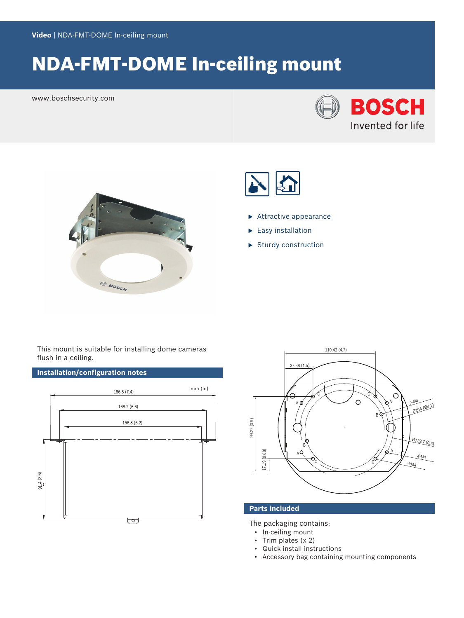# NDA-FMT-DOME In-ceiling mount

www.boschsecurity.com







- $\blacktriangleright$  Attractive appearance
- $\blacktriangleright$  Easy installation
- $\blacktriangleright$  Sturdy construction

This mount is suitable for installing dome cameras flush in a ceiling.

# **Installation/configuration notes**





# **Parts included**

The packaging contains:

- In-ceiling mount
- Trim plates (x 2)
- Quick install instructions
- Accessory bag containing mounting components